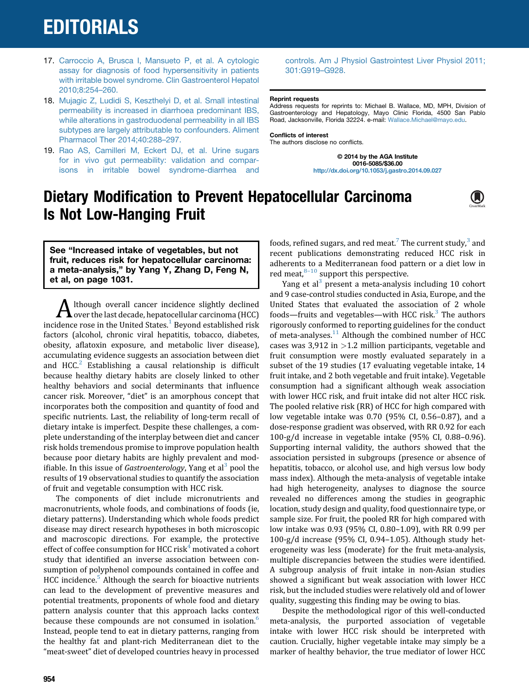## **EDITORIALS**

- 17. [Carroccio A, Brusca I, Mansueto P, et al. A cytologic](http://refhub.elsevier.com/S0016-5085(14)01140-8/sref16) [assay for diagnosis of food hypersensitivity in patients](http://refhub.elsevier.com/S0016-5085(14)01140-8/sref16) [with irritable bowel syndrome. Clin Gastroenterol Hepatol](http://refhub.elsevier.com/S0016-5085(14)01140-8/sref16) [2010;8:254](http://refhub.elsevier.com/S0016-5085(14)01140-8/sref16)–[260.](http://refhub.elsevier.com/S0016-5085(14)01140-8/sref16)
- 18. [Mujagic Z, Ludidi S, Keszthelyi D, et al. Small intestinal](http://refhub.elsevier.com/S0016-5085(14)01140-8/sref17) [permeability is increased in diarrhoea predominant IBS,](http://refhub.elsevier.com/S0016-5085(14)01140-8/sref17) [while alterations in gastroduodenal permeability in all IBS](http://refhub.elsevier.com/S0016-5085(14)01140-8/sref17) [subtypes are largely attributable to confounders. Aliment](http://refhub.elsevier.com/S0016-5085(14)01140-8/sref17) [Pharmacol Ther 2014;40:288](http://refhub.elsevier.com/S0016-5085(14)01140-8/sref17)–[297.](http://refhub.elsevier.com/S0016-5085(14)01140-8/sref17)
- 19. [Rao AS, Camilleri M, Eckert DJ, et al. Urine sugars](http://refhub.elsevier.com/S0016-5085(14)01140-8/sref18) [for in vivo gut permeability: validation and compar](http://refhub.elsevier.com/S0016-5085(14)01140-8/sref18)[isons in irritable bowel syndrome-diarrhea and](http://refhub.elsevier.com/S0016-5085(14)01140-8/sref18)

[controls. Am J Physiol Gastrointest Liver Physiol 2011;](http://refhub.elsevier.com/S0016-5085(14)01140-8/sref18) [301:G919](http://refhub.elsevier.com/S0016-5085(14)01140-8/sref18)–[G928.](http://refhub.elsevier.com/S0016-5085(14)01140-8/sref18)

#### Reprint requests

Address requests for reprints to: Michael B. Wallace, MD, MPH, Division of Gastroenterology and Hepatology, Mayo Clinic Florida, 4500 San Pablo Road, Jacksonville, Florida 32224. e-mail: [Wallace.Michael@mayo.edu](mailto:Wallace.Michael@mayo.edu).

Conflicts of interest The authors disclose no conflicts.

> © 2014 by the AGA Institute 0016-5085/\$36.00 <http://dx.doi.org/10.1053/j.gastro.2014.09.027>



See "Increased intake of vegetables, but not fruit, reduces risk for hepatocellular carcinoma: a meta-analysis," by Yang Y, Zhang D, Feng N, et al, on page 1031.

Ithough overall cancer incidence slightly declined  $\blacktriangle$  over the last decade, hepatocellular carcinoma (HCC) incidence rose in the United States. $<sup>1</sup>$  Beyond established risk</sup> factors (alcohol, chronic viral hepatitis, tobacco, diabetes, obesity, aflatoxin exposure, and metabolic liver disease), accumulating evidence suggests an association between diet and  $HCC<sup>2</sup>$  $HCC<sup>2</sup>$  $HCC<sup>2</sup>$  Establishing a causal relationship is difficult because healthy dietary habits are closely linked to other healthy behaviors and social determinants that influence cancer risk. Moreover, "diet" is an amorphous concept that incorporates both the composition and quantity of food and specific nutrients. Last, the reliability of long-term recall of dietary intake is imperfect. Despite these challenges, a complete understanding of the interplay between diet and cancer risk holds tremendous promise to improve population health because poor dietary habits are highly prevalent and modifiable. In this issue of *Gastroenterology*, Yang et al<sup>[3](#page-2-0)</sup> pool the results of 19 observational studies to quantify the association of fruit and vegetable consumption with HCC risk.

The components of diet include micronutrients and macronutrients, whole foods, and combinations of foods (ie, dietary patterns). Understanding which whole foods predict disease may direct research hypotheses in both microscopic and macroscopic directions. For example, the protective effect of coffee consumption for HCC risk<sup>[4](#page-2-0)</sup> motivated a cohort study that identified an inverse association between consumption of polyphenol compounds contained in coffee and HCC incidence.<sup>[5](#page-2-0)</sup> Although the search for bioactive nutrients can lead to the development of preventive measures and potential treatments, proponents of whole food and dietary pattern analysis counter that this approach lacks context because these compounds are not consumed in isolation.<sup>[6](#page-2-0)</sup> Instead, people tend to eat in dietary patterns, ranging from the healthy fat and plant-rich Mediterranean diet to the "meat-sweet" diet of developed countries heavy in processed

foods, refined sugars, and red meat.<sup>[7](#page-2-0)</sup> The current study, $3$  and recent publications demonstrating reduced HCC risk in adherents to a Mediterranean food pattern or a diet low in red meat, $8-10$  $8-10$  $8-10$  support this perspective.

Yang et al<sup>[3](#page-2-0)</sup> present a meta-analysis including 10 cohort and 9 case-control studies conducted in Asia, Europe, and the United States that evaluated the association of 2 whole foods—fruits and vegetables—with HCC risk. $3$  The authors rigorously conformed to reporting guidelines for the conduct of meta-analyses.<sup>11</sup> Although the combined number of HCC cases was  $3,912$  in  $>1.2$  million participants, vegetable and fruit consumption were mostly evaluated separately in a subset of the 19 studies (17 evaluating vegetable intake, 14 fruit intake, and 2 both vegetable and fruit intake). Vegetable consumption had a significant although weak association with lower HCC risk, and fruit intake did not alter HCC risk. The pooled relative risk (RR) of HCC for high compared with low vegetable intake was 0.70 (95% CI, 0.56–0.87), and a dose-response gradient was observed, with RR 0.92 for each 100-g/d increase in vegetable intake (95% CI, 0.88–0.96). Supporting internal validity, the authors showed that the association persisted in subgroups (presence or absence of hepatitis, tobacco, or alcohol use, and high versus low body mass index). Although the meta-analysis of vegetable intake had high heterogeneity, analyses to diagnose the source revealed no differences among the studies in geographic location, study design and quality, food questionnaire type, or sample size. For fruit, the pooled RR for high compared with low intake was 0.93 (95% CI, 0.80–1.09), with RR 0.99 per 100-g/d increase (95% CI, 0.94–1.05). Although study heterogeneity was less (moderate) for the fruit meta-analysis, multiple discrepancies between the studies were identified. A subgroup analysis of fruit intake in non-Asian studies showed a significant but weak association with lower HCC risk, but the included studies were relatively old and of lower quality, suggesting this finding may be owing to bias.

Despite the methodological rigor of this well-conducted meta-analysis, the purported association of vegetable intake with lower HCC risk should be interpreted with caution. Crucially, higher vegetable intake may simply be a marker of healthy behavior, the true mediator of lower HCC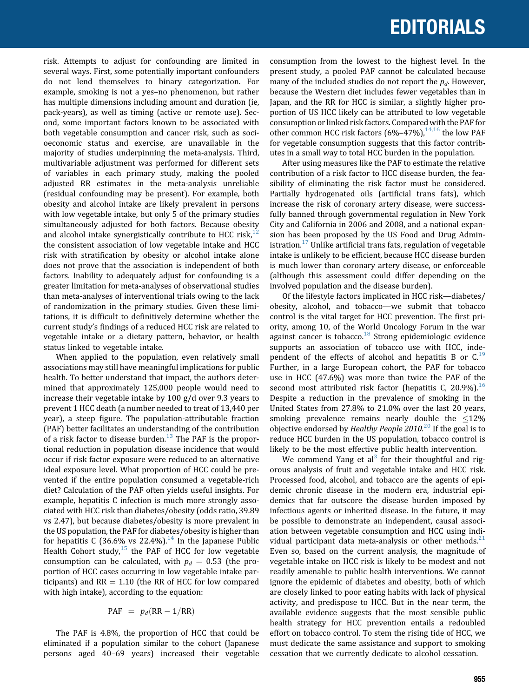### EDITORIALS

risk. Attempts to adjust for confounding are limited in several ways. First, some potentially important confounders do not lend themselves to binary categorization. For example, smoking is not a yes–no phenomenon, but rather has multiple dimensions including amount and duration (ie, pack-years), as well as timing (active or remote use). Second, some important factors known to be associated with both vegetable consumption and cancer risk, such as socioeconomic status and exercise, are unavailable in the majority of studies underpinning the meta-analysis. Third, multivariable adjustment was performed for different sets of variables in each primary study, making the pooled adjusted RR estimates in the meta-analysis unreliable (residual confounding may be present). For example, both obesity and alcohol intake are likely prevalent in persons with low vegetable intake, but only 5 of the primary studies simultaneously adjusted for both factors. Because obesity and alcohol intake synergistically contribute to HCC risk,  $^{12}$  $^{12}$  $^{12}$ the consistent association of low vegetable intake and HCC risk with stratification by obesity or alcohol intake alone does not prove that the association is independent of both factors. Inability to adequately adjust for confounding is a greater limitation for meta-analyses of observational studies than meta-analyses of interventional trials owing to the lack of randomization in the primary studies. Given these limitations, it is difficult to definitively determine whether the current study's findings of a reduced HCC risk are related to vegetable intake or a dietary pattern, behavior, or health status linked to vegetable intake.

When applied to the population, even relatively small associations may still have meaningful implications for public health. To better understand that impact, the authors determined that approximately 125,000 people would need to increase their vegetable intake by 100 g/d over 9.3 years to prevent 1 HCC death (a number needed to treat of 13,440 per year), a steep figure. The population-attributable fraction (PAF) better facilitates an understanding of the contribution of a risk factor to disease burden.<sup>[13](#page-2-0)</sup> The PAF is the proportional reduction in population disease incidence that would occur if risk factor exposure were reduced to an alternative ideal exposure level. What proportion of HCC could be prevented if the entire population consumed a vegetable-rich diet? Calculation of the PAF often yields useful insights. For example, hepatitis C infection is much more strongly associated with HCC risk than diabetes/obesity (odds ratio, 39.89 vs 2.47), but because diabetes/obesity is more prevalent in the US population, the PAF for diabetes/obesity is higher than for hepatitis C (36.6% vs 22.4%).<sup>[14](#page-2-0)</sup> In the Japanese Public Health Cohort study, $15$  the PAF of HCC for low vegetable consumption can be calculated, with  $p_d = 0.53$  (the proportion of HCC cases occurring in low vegetable intake participants) and  $RR = 1.10$  (the RR of HCC for low compared with high intake), according to the equation:

$$
PAF = p_d(RR - 1/RR)
$$

The PAF is 4.8%, the proportion of HCC that could be eliminated if a population similar to the cohort (Japanese persons aged 40–69 years) increased their vegetable consumption from the lowest to the highest level. In the present study, a pooled PAF cannot be calculated because many of the included studies do not report the  $p_d$ . However, because the Western diet includes fewer vegetables than in Japan, and the RR for HCC is similar, a slightly higher proportion of US HCC likely can be attributed to low vegetable consumption or linked risk factors. Compared with the PAF for other common HCC risk factors  $(6\% - 47\%)$ ,  $^{14,16}$  the low PAF for vegetable consumption suggests that this factor contributes in a small way to total HCC burden in the population.

After using measures like the PAF to estimate the relative contribution of a risk factor to HCC disease burden, the feasibility of eliminating the risk factor must be considered. Partially hydrogenated oils (artificial trans fats), which increase the risk of coronary artery disease, were successfully banned through governmental regulation in New York City and California in 2006 and 2008, and a national expansion has been proposed by the US Food and Drug Admin-istration.<sup>[17](#page-2-0)</sup> Unlike artificial trans fats, regulation of vegetable intake is unlikely to be efficient, because HCC disease burden is much lower than coronary artery disease, or enforceable (although this assessment could differ depending on the involved population and the disease burden).

Of the lifestyle factors implicated in HCC risk—diabetes/ obesity, alcohol, and tobacco—we submit that tobacco control is the vital target for HCC prevention. The first priority, among 10, of the World Oncology Forum in the war against cancer is tobacco. $18$  Strong epidemiologic evidence supports an association of tobacco use with HCC, independent of the effects of alcohol and hepatitis B or  $C^{19}$  $C^{19}$  $C^{19}$ Further, in a large European cohort, the PAF for tobacco use in HCC (47.6%) was more than twice the PAF of the second most attributed risk factor (hepatitis C, 20.9%).<sup>[16](#page-2-0)</sup> Despite a reduction in the prevalence of smoking in the United States from 27.8% to 21.0% over the last 20 years, smoking prevalence remains nearly double the  $\leq 12\%$ objective endorsed by *Healthy People [20](#page-2-0)10.*<sup>20</sup> If the goal is to reduce HCC burden in the US population, tobacco control is likely to be the most effective public health intervention.

We commend Yang et al<sup>[3](#page-2-0)</sup> for their thoughtful and rigorous analysis of fruit and vegetable intake and HCC risk. Processed food, alcohol, and tobacco are the agents of epidemic chronic disease in the modern era, industrial epidemics that far outscore the disease burden imposed by infectious agents or inherited disease. In the future, it may be possible to demonstrate an independent, causal association between vegetable consumption and HCC using individual participant data meta-analysis or other methods. $21$ Even so, based on the current analysis, the magnitude of vegetable intake on HCC risk is likely to be modest and not readily amenable to public health interventions. We cannot ignore the epidemic of diabetes and obesity, both of which are closely linked to poor eating habits with lack of physical activity, and predispose to HCC. But in the near term, the available evidence suggests that the most sensible public health strategy for HCC prevention entails a redoubled effort on tobacco control. To stem the rising tide of HCC, we must dedicate the same assistance and support to smoking cessation that we currently dedicate to alcohol cessation.